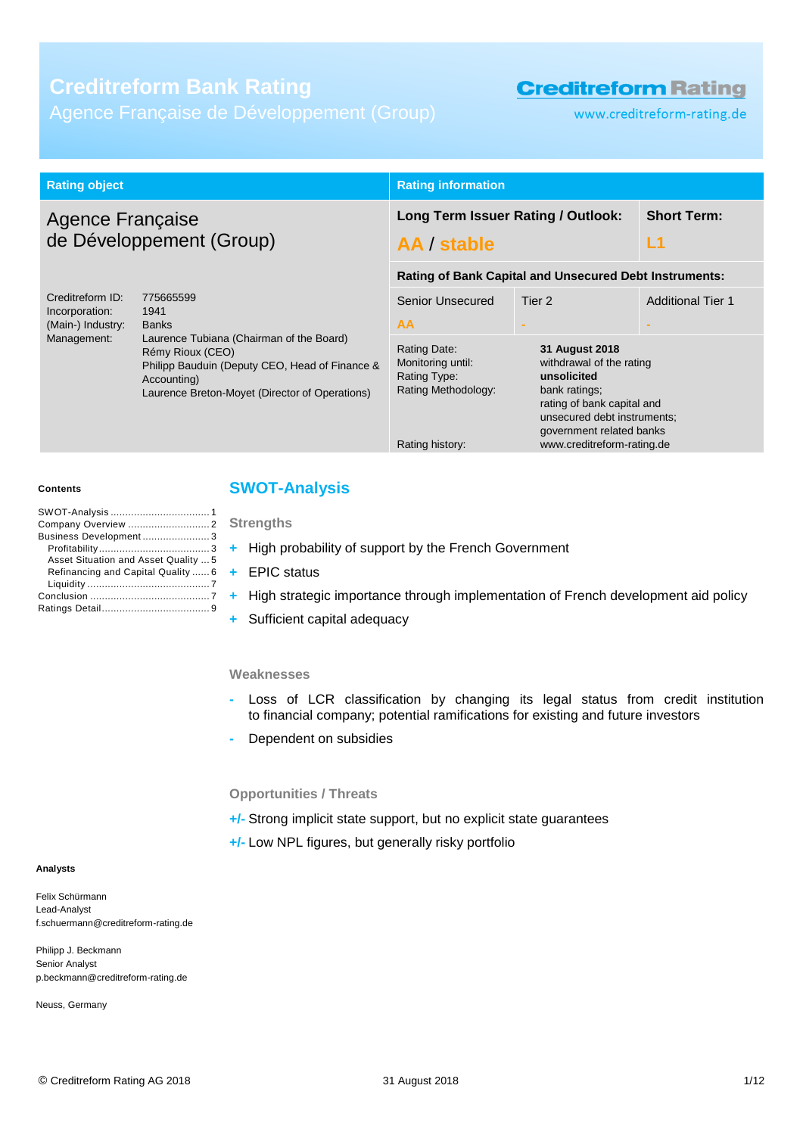# **Creditreform Bank Rating**

Agence Française de Développement (Group)

# **Creditreform Rating**

www.creditreform-rating.de

| <b>Rating object</b>                                                                                                                                                                                                                                                                           |                                                                                             | <b>Rating information</b>                                                                                                                                                                         |                          |  |
|------------------------------------------------------------------------------------------------------------------------------------------------------------------------------------------------------------------------------------------------------------------------------------------------|---------------------------------------------------------------------------------------------|---------------------------------------------------------------------------------------------------------------------------------------------------------------------------------------------------|--------------------------|--|
| <b>Agence Française</b><br>de Développement (Group)                                                                                                                                                                                                                                            |                                                                                             | Long Term Issuer Rating / Outlook:<br>AA / stable                                                                                                                                                 | <b>Short Term:</b><br>L1 |  |
|                                                                                                                                                                                                                                                                                                |                                                                                             | <b>Rating of Bank Capital and Unsecured Debt Instruments:</b>                                                                                                                                     |                          |  |
| Creditreform ID:<br>775665599<br>1941<br>Incorporation:<br>(Main-) Industry:<br><b>Banks</b><br>Management:<br>Laurence Tubiana (Chairman of the Board)<br>Rémy Rioux (CEO)<br>Philipp Bauduin (Deputy CEO, Head of Finance &<br>Accounting)<br>Laurence Breton-Moyet (Director of Operations) | Senior Unsecured<br>AA                                                                      | Tier 2<br>$\sim$                                                                                                                                                                                  | <b>Additional Tier 1</b> |  |
|                                                                                                                                                                                                                                                                                                | Rating Date:<br>Monitoring until:<br>Rating Type:<br>Rating Methodology:<br>Rating history: | 31 August 2018<br>withdrawal of the rating<br>unsolicited<br>bank ratings;<br>rating of bank capital and<br>unsecured debt instruments;<br>government related banks<br>www.creditreform-rating.de |                          |  |

#### **Contents**

| Business Development3                |  |
|--------------------------------------|--|
|                                      |  |
| Asset Situation and Asset Quality  5 |  |
| Refinancing and Capital Quality  6   |  |
|                                      |  |
|                                      |  |
|                                      |  |

### <span id="page-0-0"></span>**SWOT-Analysis**

**Strengths**

- **+** High probability of support by the French Government
- **+** EPIC status
- **+** High strategic importance through implementation of French development aid policy
- **+** Sufficient capital adequacy

#### **Weaknesses**

- **-** Loss of LCR classification by changing its legal status from credit institution to financial company; potential ramifications for existing and future investors
- **-** Dependent on subsidies

#### **Opportunities / Threats**

- **+/-** Strong implicit state support, but no explicit state guarantees
- **+/-** Low NPL figures, but generally risky portfolio

#### **Analysts**

Felix Schürmann Lead-Analyst f.schuermann@creditreform-rating.de

Philipp J. Beckmann Senior Analyst p.beckmann@creditreform-rating.de

Neuss, Germany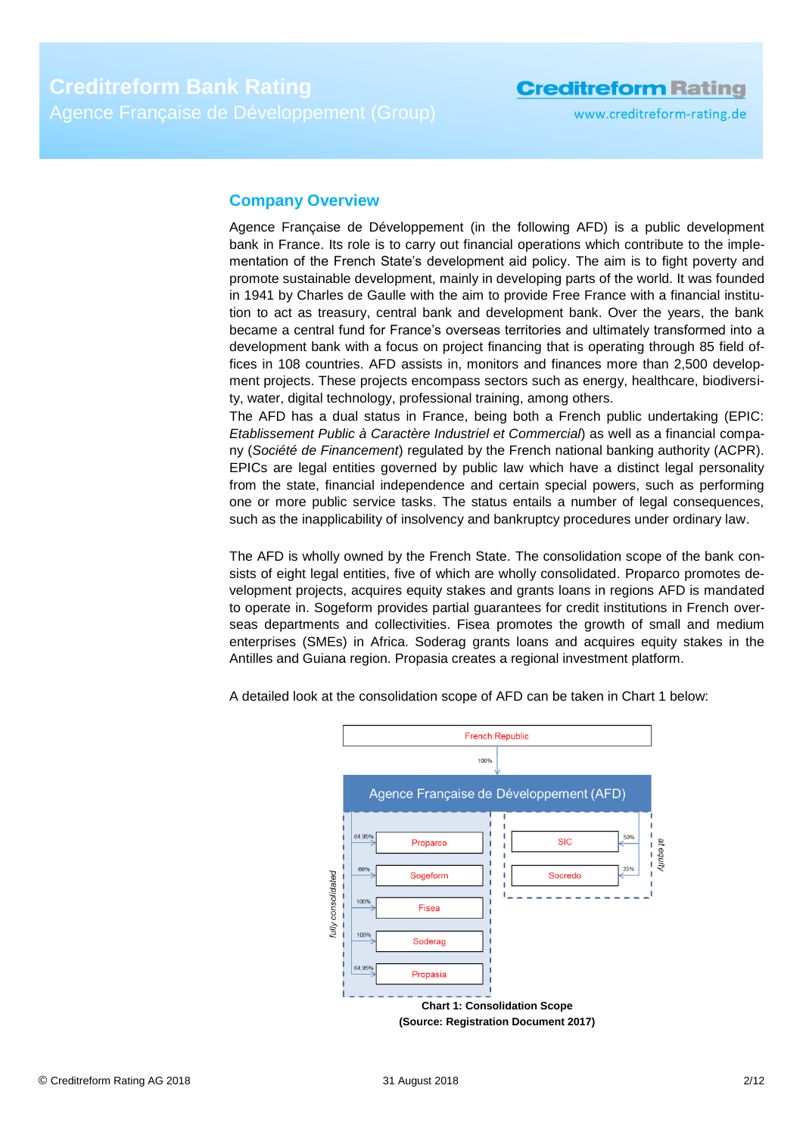www.creditreform-rating.de

### <span id="page-1-0"></span>**Company Overview**

Agence Française de Développement (in the following AFD) is a public development bank in France. Its role is to carry out financial operations which contribute to the implementation of the French State's development aid policy. The aim is to fight poverty and promote sustainable development, mainly in developing parts of the world. It was founded in 1941 by Charles de Gaulle with the aim to provide Free France with a financial institution to act as treasury, central bank and development bank. Over the years, the bank became a central fund for France's overseas territories and ultimately transformed into a development bank with a focus on project financing that is operating through 85 field offices in 108 countries. AFD assists in, monitors and finances more than 2,500 development projects. These projects encompass sectors such as energy, healthcare, biodiversity, water, digital technology, professional training, among others.

The AFD has a dual status in France, being both a French public undertaking (EPIC: *Etablissement Public à Caractère Industriel et Commercial*) as well as a financial company (*Société de Financement*) regulated by the French national banking authority (ACPR). EPICs are legal entities governed by public law which have a distinct legal personality from the state, financial independence and certain special powers, such as performing one or more public service tasks. The status entails a number of legal consequences, such as the inapplicability of insolvency and bankruptcy procedures under ordinary law.

The AFD is wholly owned by the French State. The consolidation scope of the bank consists of eight legal entities, five of which are wholly consolidated. Proparco promotes development projects, acquires equity stakes and grants loans in regions AFD is mandated to operate in. Sogeform provides partial guarantees for credit institutions in French overseas departments and collectivities. Fisea promotes the growth of small and medium enterprises (SMEs) in Africa. Soderag grants loans and acquires equity stakes in the Antilles and Guiana region. Propasia creates a regional investment platform.



A detailed look at the consolidation scope of AFD can be taken in Chart 1 below: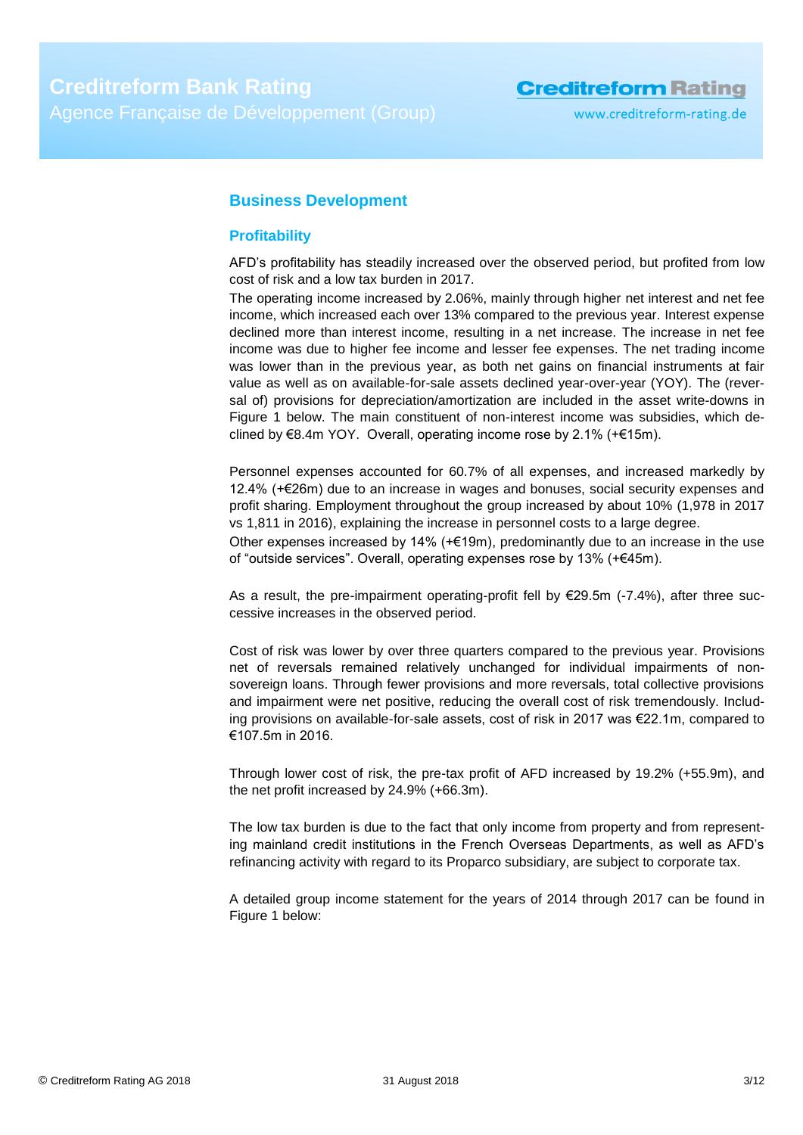### <span id="page-2-0"></span>**Business Development**

### <span id="page-2-1"></span>**Profitability**

AFD's profitability has steadily increased over the observed period, but profited from low cost of risk and a low tax burden in 2017.

The operating income increased by 2.06%, mainly through higher net interest and net fee income, which increased each over 13% compared to the previous year. Interest expense declined more than interest income, resulting in a net increase. The increase in net fee income was due to higher fee income and lesser fee expenses. The net trading income was lower than in the previous year, as both net gains on financial instruments at fair value as well as on available-for-sale assets declined year-over-year (YOY). The (reversal of) provisions for depreciation/amortization are included in the asset write-downs in Figure 1 below. The main constituent of non-interest income was subsidies, which declined by €8.4m YOY. Overall, operating income rose by 2.1% (+€15m).

Personnel expenses accounted for 60.7% of all expenses, and increased markedly by 12.4% (+€26m) due to an increase in wages and bonuses, social security expenses and profit sharing. Employment throughout the group increased by about 10% (1,978 in 2017 vs 1,811 in 2016), explaining the increase in personnel costs to a large degree.

Other expenses increased by 14% (+€19m), predominantly due to an increase in the use of "outside services". Overall, operating expenses rose by 13% (+€45m).

As a result, the pre-impairment operating-profit fell by  $E29.5m$  (-7.4%), after three successive increases in the observed period.

Cost of risk was lower by over three quarters compared to the previous year. Provisions net of reversals remained relatively unchanged for individual impairments of nonsovereign loans. Through fewer provisions and more reversals, total collective provisions and impairment were net positive, reducing the overall cost of risk tremendously. Including provisions on available-for-sale assets, cost of risk in 2017 was €22.1m, compared to €107.5m in 2016.

Through lower cost of risk, the pre-tax profit of AFD increased by 19.2% (+55.9m), and the net profit increased by 24.9% (+66.3m).

The low tax burden is due to the fact that only income from property and from representing mainland credit institutions in the French Overseas Departments, as well as AFD's refinancing activity with regard to its Proparco subsidiary, are subject to corporate tax.

A detailed group income statement for the years of 2014 through 2017 can be found in Figure 1 below: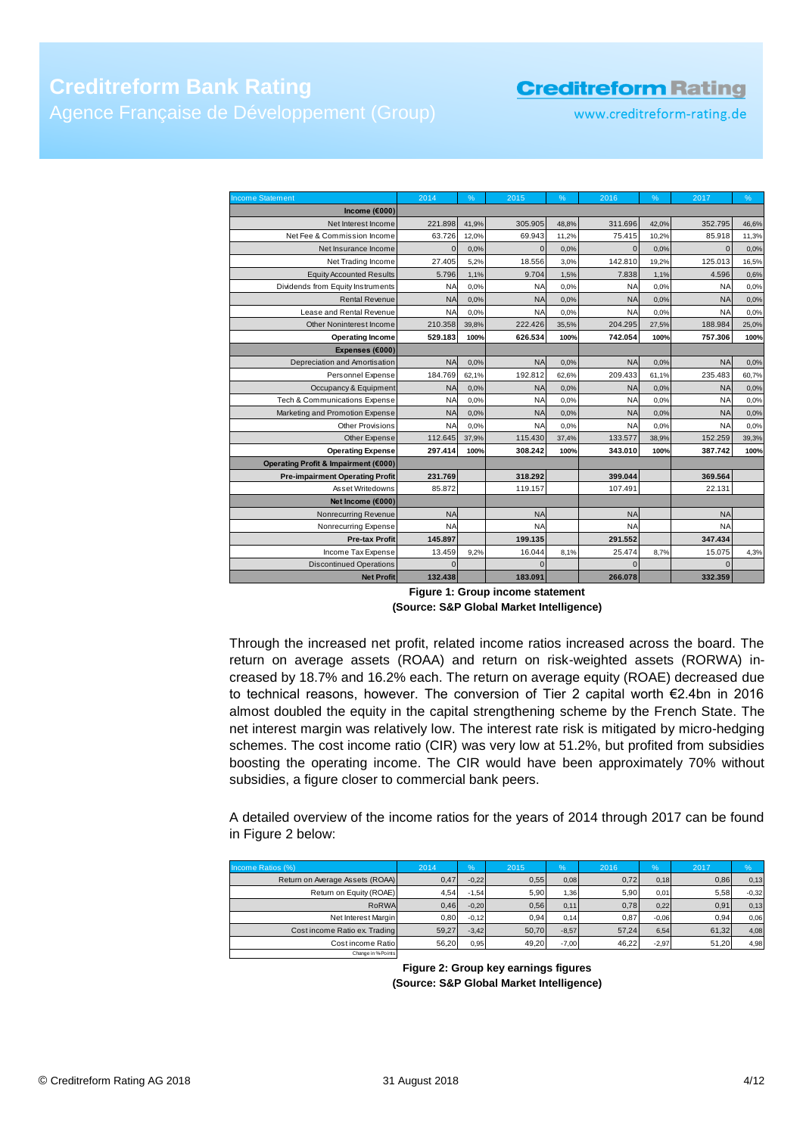www.creditreform-rating.de

| <b>Income Statement</b>                | 2014      | %     | 2015         | %     | 2016       | %     | 2017           | %     |
|----------------------------------------|-----------|-------|--------------|-------|------------|-------|----------------|-------|
| Income ( $6000$ )                      |           |       |              |       |            |       |                |       |
| Net Interest Income                    | 221.898   | 41,9% | 305.905      | 48,8% | 311.696    | 42,0% | 352.795        | 46,6% |
| Net Fee & Commission Income            | 63.726    | 12,0% | 69.943       | 11,2% | 75.415     | 10,2% | 85.918         | 11,3% |
| Net Insurance Income                   | $\Omega$  | 0.0%  | $\mathbf{0}$ | 0,0%  | $\Omega$   | 0.0%  | $\overline{0}$ | 0,0%  |
| Net Trading Income                     | 27.405    | 5,2%  | 18.556       | 3,0%  | 142.810    | 19,2% | 125.013        | 16,5% |
| <b>Equity Accounted Results</b>        | 5.796     | 1,1%  | 9.704        | 1,5%  | 7.838      | 1,1%  | 4.596          | 0,6%  |
| Dividends from Equity Instruments      | <b>NA</b> | 0.0%  | <b>NA</b>    | 0.0%  | <b>NA</b>  | 0.0%  | <b>NA</b>      | 0,0%  |
| <b>Rental Revenue</b>                  | <b>NA</b> | 0,0%  | <b>NA</b>    | 0,0%  | <b>NA</b>  | 0.0%  | <b>NA</b>      | 0,0%  |
| Lease and Rental Revenue               | <b>NA</b> | 0,0%  | <b>NA</b>    | 0,0%  | <b>NA</b>  | 0.0%  | <b>NA</b>      | 0.0%  |
| Other Noninterest Income               | 210.358   | 39,8% | 222.426      | 35,5% | 204.295    | 27,5% | 188.984        | 25,0% |
| <b>Operating Income</b>                | 529.183   | 100%  | 626.534      | 100%  | 742.054    | 100%  | 757.306        | 100%  |
| Expenses (€000)                        |           |       |              |       |            |       |                |       |
| Depreciation and Amortisation          | <b>NA</b> | 0,0%  | <b>NA</b>    | 0,0%  | <b>NA</b>  | 0.0%  | <b>NA</b>      | 0,0%  |
| Personnel Expense                      | 184.769   | 62.1% | 192.812      | 62.6% | 209.433    | 61.1% | 235.483        | 60,7% |
| Occupancy & Equipment                  | <b>NA</b> | 0,0%  | <b>NA</b>    | 0,0%  | <b>NA</b>  | 0.0%  | <b>NA</b>      | 0,0%  |
| Tech & Communications Expense          | <b>NA</b> | 0,0%  | <b>NA</b>    | 0,0%  | <b>NA</b>  | 0.0%  | <b>NA</b>      | 0,0%  |
| Marketing and Promotion Expense        | <b>NA</b> | 0,0%  | <b>NA</b>    | 0,0%  | <b>NA</b>  | 0.0%  | <b>NA</b>      | 0,0%  |
| <b>Other Provisions</b>                | <b>NA</b> | 0,0%  | <b>NA</b>    | 0,0%  | <b>NA</b>  | 0.0%  | <b>NA</b>      | 0,0%  |
| Other Expense                          | 112.645   | 37,9% | 115.430      | 37,4% | 133,577    | 38,9% | 152.259        | 39,3% |
| <b>Operating Expense</b>               | 297.414   | 100%  | 308.242      | 100%  | 343.010    | 100%  | 387.742        | 100%  |
| Operating Profit & Impairment (€000)   |           |       |              |       |            |       |                |       |
| <b>Pre-impairment Operating Profit</b> | 231.769   |       | 318.292      |       | 399.044    |       | 369.564        |       |
| Asset Writedowns                       | 85.872    |       | 119.157      |       | 107.491    |       | 22.131         |       |
| Net Income (€000)                      |           |       |              |       |            |       |                |       |
| Nonrecurring Revenue                   | <b>NA</b> |       | <b>NA</b>    |       | <b>NA</b>  |       | <b>NA</b>      |       |
| Nonrecurring Expense                   | <b>NA</b> |       | <b>NA</b>    |       | <b>NA</b>  |       | <b>NA</b>      |       |
| <b>Pre-tax Profit</b>                  | 145.897   |       | 199.135      |       | 291.552    |       | 347.434        |       |
| Income Tax Expense                     | 13.459    | 9.2%  | 16.044       | 8,1%  | 25.474     | 8,7%  | 15.075         | 4,3%  |
| <b>Discontinued Operations</b>         | $\Omega$  |       | $\Omega$     |       | $\sqrt{ }$ |       | $\overline{0}$ |       |
| <b>Net Profit</b>                      | 132.438   |       | 183.091      |       | 266.078    |       | 332.359        |       |

**Figure 1: Group income statement (Source: S&P Global Market Intelligence)**

Through the increased net profit, related income ratios increased across the board. The return on average assets (ROAA) and return on risk-weighted assets (RORWA) increased by 18.7% and 16.2% each. The return on average equity (ROAE) decreased due to technical reasons, however. The conversion of Tier 2 capital worth €2.4bn in 2016 almost doubled the equity in the capital strengthening scheme by the French State. The net interest margin was relatively low. The interest rate risk is mitigated by micro-hedging schemes. The cost income ratio (CIR) was very low at 51.2%, but profited from subsidies boosting the operating income. The CIR would have been approximately 70% without subsidies, a figure closer to commercial bank peers.

A detailed overview of the income ratios for the years of 2014 through 2017 can be found in Figure 2 below:

| Income Ratios (%)               | 2014  | $\%$    | 2015  | $\frac{9}{6}$ | 2016  | $\frac{9}{6}$ | 2017  | $\frac{9}{6}$ |
|---------------------------------|-------|---------|-------|---------------|-------|---------------|-------|---------------|
| Return on Average Assets (ROAA) | 0,47  | $-0.22$ | 0,55  | 0.08          | 0,72  | 0.18          | 0,86  | 0.13          |
| Return on Equity (ROAE)         | 4,54  | $-1,54$ | 5.90  | 1,36          | 5.90  | 0.01          | 5,58  | $-0.32$       |
| RoRWA                           | 0,46  | $-0,20$ | 0.56  | 0.11          | 0,78  | 0.22          | 0,91  | 0,13          |
| Net Interest Margin             | 0,80  | $-0.12$ | 0.94  | 0.14          | 0.87  | $-0.06$       | 0.94  | 0.06          |
| Cost income Ratio ex. Trading   | 59.27 | $-3,42$ | 50.70 | $-8.57$       | 57.24 | 6,54          | 61,32 | 4,08          |
| Cost income Ratio               | 56.20 | 0,95    | 49.20 | $-7.00$       | 46.22 | $-2,97$       | 51.20 | 4,98          |
| Change in % Points              |       |         |       |               |       |               |       |               |

**Figure 2: Group key earnings figures (Source: S&P Global Market Intelligence)**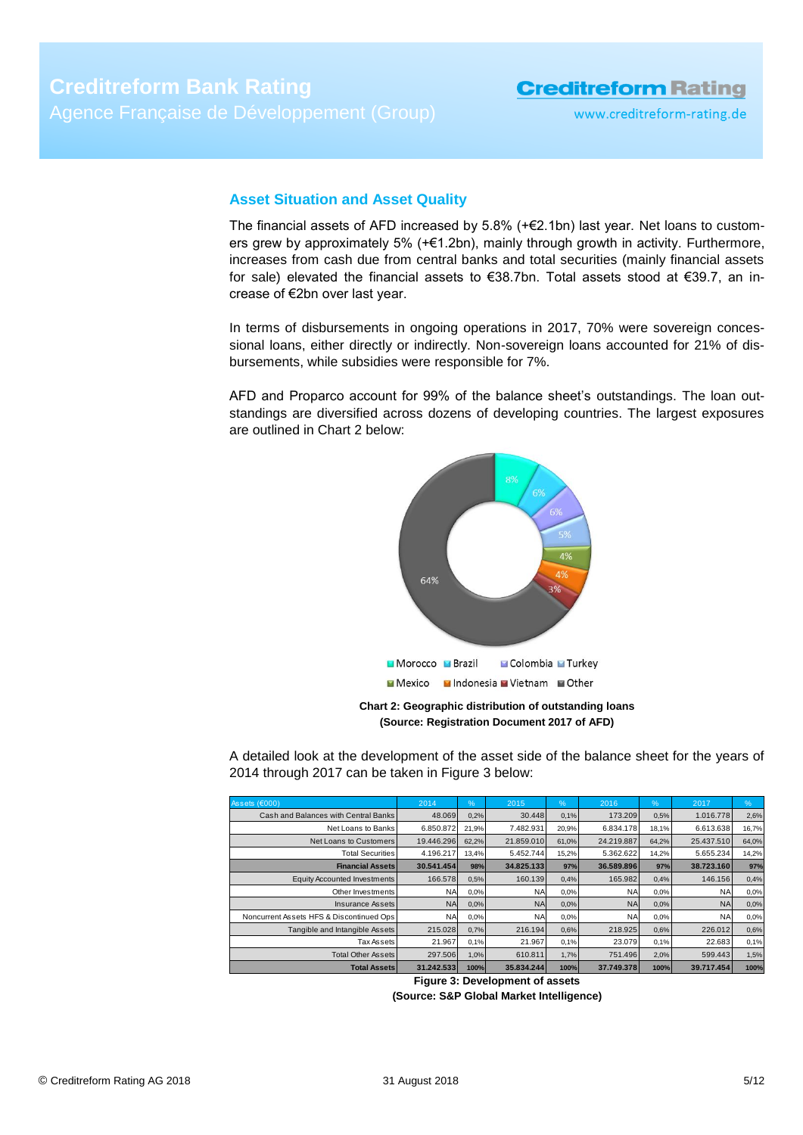### <span id="page-4-0"></span>**Asset Situation and Asset Quality**

The financial assets of AFD increased by  $5.8\%$  (+ $\epsilon$ 2.1bn) last year. Net loans to customers grew by approximately 5% (+€1.2bn), mainly through growth in activity. Furthermore, increases from cash due from central banks and total securities (mainly financial assets for sale) elevated the financial assets to €38.7bn. Total assets stood at €39.7, an increase of €2bn over last year.

In terms of disbursements in ongoing operations in 2017, 70% were sovereign concessional loans, either directly or indirectly. Non-sovereign loans accounted for 21% of disbursements, while subsidies were responsible for 7%.

AFD and Proparco account for 99% of the balance sheet's outstandings. The loan outstandings are diversified across dozens of developing countries. The largest exposures are outlined in Chart 2 below:



**Chart 2: Geographic distribution of outstanding loans (Source: Registration Document 2017 of AFD)**

A detailed look at the development of the asset side of the balance sheet for the years of 2014 through 2017 can be taken in Figure 3 below:

| Assets $(6000)$                          | 2014       | $\%$  | 2015       | %     | 2016       | $\frac{9}{6}$ | 2017       | %     |
|------------------------------------------|------------|-------|------------|-------|------------|---------------|------------|-------|
| Cash and Balances with Central Banks     | 48.069     | 0,2%  | 30.448     | 0,1%  | 173.209    | 0.5%          | 1.016.778  | 2.6%  |
| Net Loans to Banks                       | 6.850.872  | 21,9% | 7.482.931  | 20,9% | 6.834.178  | 18,1%         | 6.613.638  | 16,7% |
| Net Loans to Customers                   | 19.446.296 | 62.2% | 21.859.010 | 61,0% | 24.219.887 | 64.2%         | 25.437.510 | 64,0% |
| <b>Total Securities</b>                  | 4.196.217  | 13.4% | 5.452.744  | 15,2% | 5.362.622  | 14.2%         | 5.655.234  | 14,2% |
| <b>Financial Assets</b>                  | 30.541.454 | 98%   | 34.825.133 | 97%   | 36.589.896 | 97%           | 38.723.160 | 97%   |
| Equity Accounted Investments             | 166.578    | 0,5%  | 160.139    | 0,4%  | 165.982    | 0,4%          | 146.156    | 0.4%  |
| Other Investments                        | <b>NA</b>  | 0,0%  | <b>NA</b>  | 0,0%  | <b>NA</b>  | 0.0%          | <b>NA</b>  | 0.0%  |
| Insurance Assets                         | <b>NA</b>  | 0.0%  | <b>NA</b>  | 0,0%  | <b>NA</b>  | 0.0%          | <b>NA</b>  | 0.0%  |
| Noncurrent Assets HFS & Discontinued Ops | <b>NA</b>  | 0,0%  | <b>NA</b>  | 0,0%  | <b>NA</b>  | 0.0%          | <b>NA</b>  | 0.0%  |
| Tangible and Intangible Assets           | 215.028    | 0.7%  | 216.194    | 0,6%  | 218,925    | 0,6%          | 226,012    | 0,6%  |
| Tax Assets                               | 21.967     | 0,1%  | 21.967     | 0,1%  | 23.079     | 0,1%          | 22.683     | 0,1%  |
| <b>Total Other Assets</b>                | 297.506    | 1,0%  | 610.811    | 1,7%  | 751.496    | 2,0%          | 599.443    | 1,5%  |
| <b>Total Assets</b>                      | 31.242.533 | 100%  | 35.834.244 | 100%  | 37.749.378 | 100%          | 39.717.454 | 100%  |

**Figure 3: Development of assets**

**(Source: S&P Global Market Intelligence)**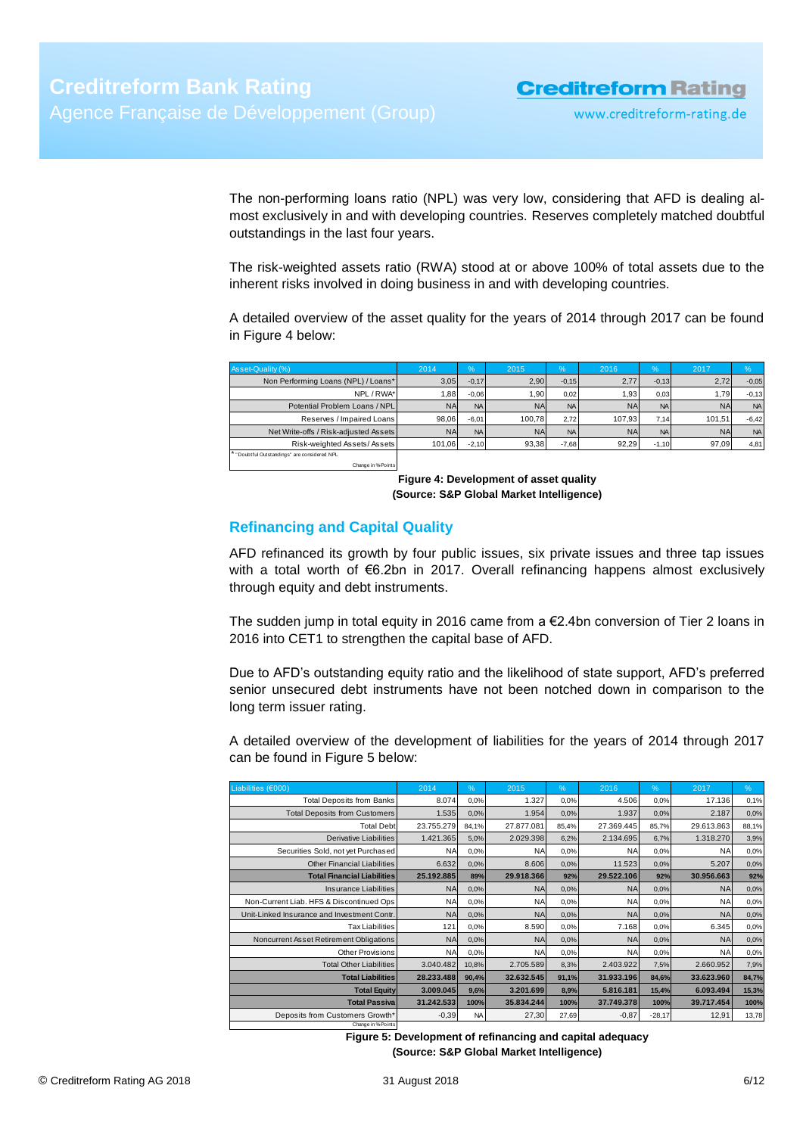The non-performing loans ratio (NPL) was very low, considering that AFD is dealing almost exclusively in and with developing countries. Reserves completely matched doubtful outstandings in the last four years.

The risk-weighted assets ratio (RWA) stood at or above 100% of total assets due to the inherent risks involved in doing business in and with developing countries.

A detailed overview of the asset quality for the years of 2014 through 2017 can be found in Figure 4 below:

| Asset-Quality (%)                          | 2014      | $\frac{1}{2}$ | 2015      | $\frac{9}{6}$ | 2016      | $\frac{6}{6}$ | 2017      | $\%$      |
|--------------------------------------------|-----------|---------------|-----------|---------------|-----------|---------------|-----------|-----------|
| Non Performing Loans (NPL) / Loans*        | 3,05      | $-0.17$       | 2.90      | $-0.15$       | 2,77      | $-0,13$       | 2,72      | $-0,05$   |
| NPL / RWA*                                 | 1.88      | $-0.06$       | 1.90      | 0.02          | 1,93      | 0.03          | 1,79      | $-0,13$   |
| Potential Problem Loans / NPL              | <b>NA</b> | <b>NA</b>     | <b>NA</b> | <b>NA</b>     | <b>NA</b> | <b>NA</b>     | <b>NA</b> | <b>NA</b> |
| Reserves / Impaired Loans                  | 98.06     | $-6.01$       | 100.78    | 2.72          | 107.93    | 7.14          | 101.51    | $-6,42$   |
| Net Write-offs / Risk-adjusted Assets      | <b>NA</b> | <b>NA</b>     | <b>NA</b> | <b>NA</b>     | <b>NA</b> | <b>NA</b>     | <b>NA</b> | <b>NA</b> |
| Risk-weighted Assets/Assets                | 101.06    | $-2.10$       | 93.38     | $-7.68$       | 92.29     | $-1.10$       | 97.09     | 4,81      |
| "Doubtful Outstandings" are considered NPL |           |               |           |               |           |               |           |           |

Change in %-Points

**Figure 4: Development of asset quality (Source: S&P Global Market Intelligence)**

### <span id="page-5-0"></span>**Refinancing and Capital Quality**

AFD refinanced its growth by four public issues, six private issues and three tap issues with a total worth of €6.2bn in 2017. Overall refinancing happens almost exclusively through equity and debt instruments.

The sudden jump in total equity in 2016 came from a €2.4bn conversion of Tier 2 loans in 2016 into CET1 to strengthen the capital base of AFD.

Due to AFD's outstanding equity ratio and the likelihood of state support, AFD's preferred senior unsecured debt instruments have not been notched down in comparison to the long term issuer rating.

A detailed overview of the development of liabilities for the years of 2014 through 2017 can be found in Figure 5 below:

| Liabilities (€000)                          | 2014       | %         | 2015       | %     | 2016       | %        | 2017       | %     |
|---------------------------------------------|------------|-----------|------------|-------|------------|----------|------------|-------|
| <b>Total Deposits from Banks</b>            | 8.074      | 0,0%      | 1.327      | 0.0%  | 4.506      | 0.0%     | 17.136     | 0,1%  |
| <b>Total Deposits from Customers</b>        | 1.535      | 0.0%      | 1.954      | 0.0%  | 1.937      | 0.0%     | 2.187      | 0,0%  |
| <b>Total Debt</b>                           | 23.755.279 | 84.1%     | 27.877.081 | 85,4% | 27.369.445 | 85.7%    | 29.613.863 | 88,1% |
| <b>Derivative Liabilities</b>               | 1.421.365  | 5,0%      | 2.029.398  | 6,2%  | 2.134.695  | 6,7%     | 1.318.270  | 3,9%  |
| Securities Sold, not yet Purchased          | <b>NA</b>  | 0,0%      | <b>NA</b>  | 0.0%  | <b>NA</b>  | 0.0%     | <b>NA</b>  | 0,0%  |
| <b>Other Financial Liabilities</b>          | 6.632      | 0,0%      | 8.606      | 0,0%  | 11.523     | 0.0%     | 5.207      | 0,0%  |
| <b>Total Financial Liabilities</b>          | 25.192.885 | 89%       | 29.918.366 | 92%   | 29.522.106 | 92%      | 30.956.663 | 92%   |
| Insurance Liabilities                       | <b>NA</b>  | 0,0%      | <b>NA</b>  | 0,0%  | <b>NA</b>  | 0.0%     | <b>NA</b>  | 0,0%  |
| Non-Current Liab. HFS & Discontinued Ops    | <b>NA</b>  | 0,0%      | <b>NA</b>  | 0.0%  | <b>NA</b>  | 0.0%     | <b>NA</b>  | 0,0%  |
| Unit-Linked Insurance and Investment Contr. | <b>NA</b>  | 0,0%      | <b>NA</b>  | 0.0%  | <b>NA</b>  | 0.0%     | <b>NA</b>  | 0,0%  |
| <b>Tax Liabilities</b>                      | 121        | 0,0%      | 8.590      | 0.0%  | 7.168      | 0.0%     | 6.345      | 0,0%  |
| Noncurrent Asset Retirement Obligations     | <b>NA</b>  | 0.0%      | <b>NA</b>  | 0,0%  | <b>NA</b>  | 0.0%     | <b>NA</b>  | 0,0%  |
| Other Provisions                            | <b>NA</b>  | 0,0%      | <b>NA</b>  | 0.0%  | <b>NA</b>  | 0.0%     | <b>NA</b>  | 0,0%  |
| <b>Total Other Liabilities</b>              | 3.040.482  | 10,8%     | 2.705.589  | 8,3%  | 2.403.922  | 7,5%     | 2.660.952  | 7,9%  |
| <b>Total Liabilities</b>                    | 28.233.488 | 90,4%     | 32.632.545 | 91,1% | 31.933.196 | 84,6%    | 33.623.960 | 84,7% |
| <b>Total Equity</b>                         | 3.009.045  | 9,6%      | 3.201.699  | 8,9%  | 5.816.181  | 15,4%    | 6.093.494  | 15,3% |
| <b>Total Passiva</b>                        | 31.242.533 | 100%      | 35.834.244 | 100%  | 37.749.378 | 100%     | 39.717.454 | 100%  |
| Deposits from Customers Growth*             | $-0,39$    | <b>NA</b> | 27,30      | 27,69 | $-0.87$    | $-28,17$ | 12,91      | 13,78 |
| Change in % Points                          |            |           |            |       |            |          |            |       |

**Figure 5: Development of refinancing and capital adequacy (Source: S&P Global Market Intelligence)**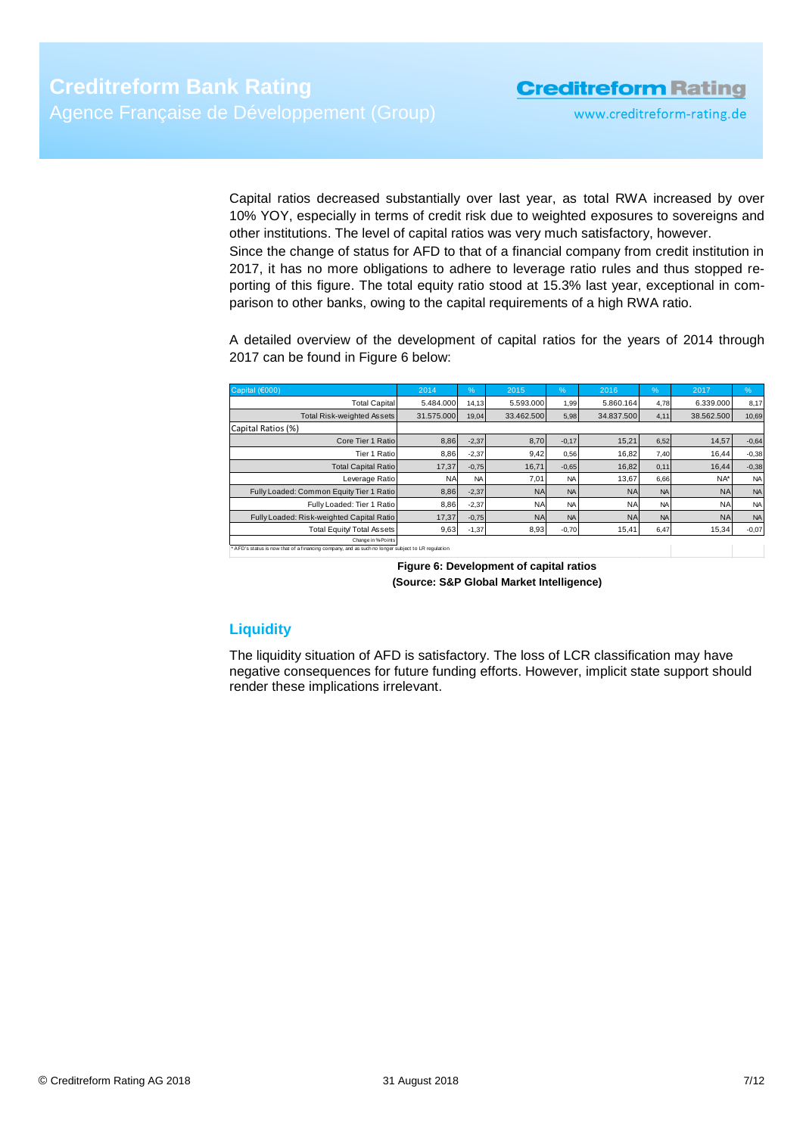www.creditreform-rating.de

Capital ratios decreased substantially over last year, as total RWA increased by over 10% YOY, especially in terms of credit risk due to weighted exposures to sovereigns and other institutions. The level of capital ratios was very much satisfactory, however. Since the change of status for AFD to that of a financial company from credit institution in 2017, it has no more obligations to adhere to leverage ratio rules and thus stopped reporting of this figure. The total equity ratio stood at 15.3% last year, exceptional in comparison to other banks, owing to the capital requirements of a high RWA ratio.

A detailed overview of the development of capital ratios for the years of 2014 through 2017 can be found in Figure 6 below:

| Capital (€000)                                                                                                          | 2014       | %         | 2015       | $\frac{9}{6}$ | 2016       | %         | 2017       | %         |
|-------------------------------------------------------------------------------------------------------------------------|------------|-----------|------------|---------------|------------|-----------|------------|-----------|
| <b>Total Capital</b>                                                                                                    | 5.484.000  | 14,13     | 5.593.000  | 1,99          | 5.860.164  | 4.78      | 6.339.000  | 8,17      |
| Total Risk-weighted Assets                                                                                              | 31.575.000 | 19,04     | 33.462.500 | 5,98          | 34.837.500 | 4,11      | 38.562.500 | 10,69     |
| Capital Ratios (%)                                                                                                      |            |           |            |               |            |           |            |           |
| Core Tier 1 Ratio                                                                                                       | 8,86       | $-2,37$   | 8,70       | $-0,17$       | 15,21      | 6,52      | 14,57      | $-0,64$   |
| Tier 1 Ratio                                                                                                            | 8,86       | $-2,37$   | 9,42       | 0,56          | 16,82      | 7,40      | 16,44      | $-0,38$   |
| <b>Total Capital Ratio</b>                                                                                              | 17,37      | $-0,75$   | 16,71      | $-0,65$       | 16.82      | 0,11      | 16.44      | $-0,38$   |
| Leverage Ratio                                                                                                          | <b>NA</b>  | <b>NA</b> | 7,01       | <b>NA</b>     | 13.67      | 6,66      | NA*        | <b>NA</b> |
| Fully Loaded: Common Equity Tier 1 Ratio                                                                                | 8,86       | $-2,37$   | <b>NA</b>  | <b>NA</b>     | <b>NA</b>  | <b>NA</b> | <b>NA</b>  | <b>NA</b> |
| Fully Loaded: Tier 1 Ratio                                                                                              | 8,86       | $-2,37$   | <b>NA</b>  | <b>NA</b>     | <b>NA</b>  | <b>NA</b> | <b>NA</b>  | <b>NA</b> |
| Fully Loaded: Risk-weighted Capital Ratio                                                                               | 17,37      | $-0,75$   | <b>NA</b>  | <b>NA</b>     | <b>NA</b>  | <b>NA</b> | <b>NAI</b> | <b>NA</b> |
| Total Equity/Total Assets                                                                                               | 9,63       | $-1,37$   | 8,93       | $-0,70$       | 15,41      | 6,47      | 15,34      | $-0,07$   |
| Change in % Points<br>* AFD's status is now that of a financing company, and as such no longer subject to LR regulation |            |           |            |               |            |           |            |           |

**Figure 6: Development of capital ratios (Source: S&P Global Market Intelligence)**

### <span id="page-6-0"></span>**Liquidity**

The liquidity situation of AFD is satisfactory. The loss of LCR classification may have negative consequences for future funding efforts. However, implicit state support should render these implications irrelevant.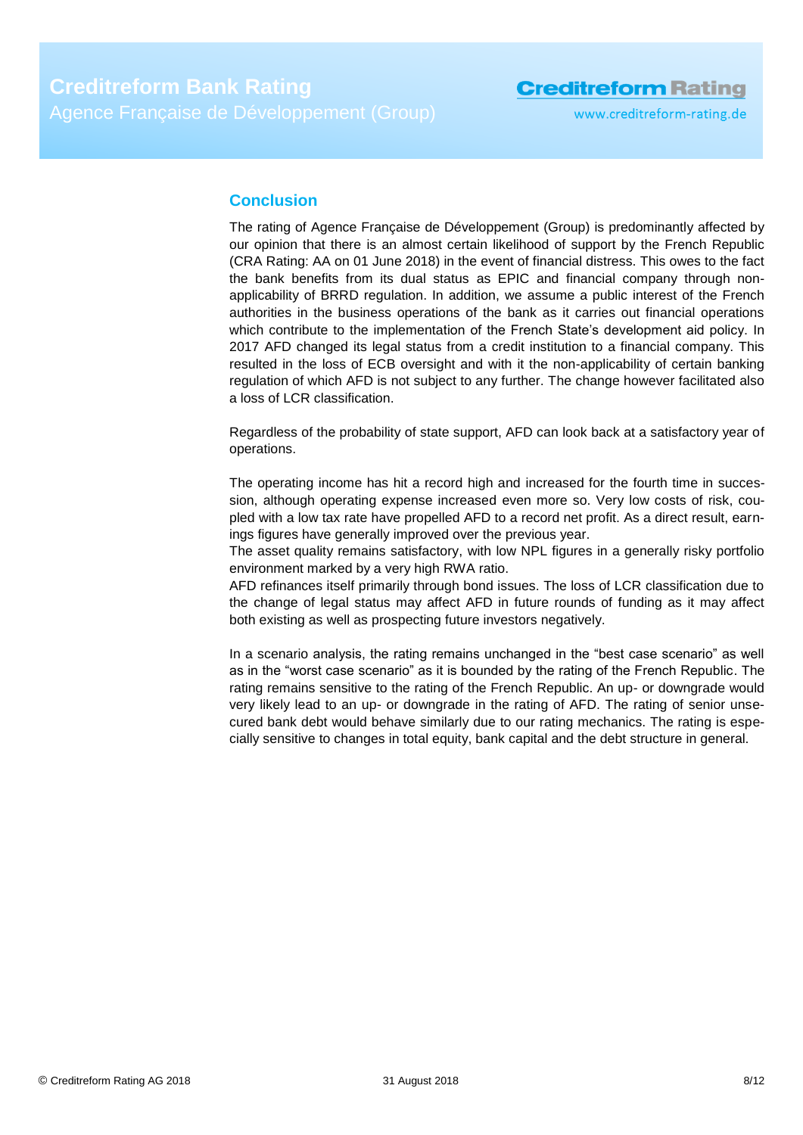### **Conclusion**

The rating of Agence Française de Développement (Group) is predominantly affected by our opinion that there is an almost certain likelihood of support by the French Republic (CRA Rating: AA on 01 June 2018) in the event of financial distress. This owes to the fact the bank benefits from its dual status as EPIC and financial company through nonapplicability of BRRD regulation. In addition, we assume a public interest of the French authorities in the business operations of the bank as it carries out financial operations which contribute to the implementation of the French State's development aid policy. In 2017 AFD changed its legal status from a credit institution to a financial company. This resulted in the loss of ECB oversight and with it the non-applicability of certain banking regulation of which AFD is not subject to any further. The change however facilitated also a loss of LCR classification.

Regardless of the probability of state support, AFD can look back at a satisfactory year of operations.

The operating income has hit a record high and increased for the fourth time in succession, although operating expense increased even more so. Very low costs of risk, coupled with a low tax rate have propelled AFD to a record net profit. As a direct result, earnings figures have generally improved over the previous year.

The asset quality remains satisfactory, with low NPL figures in a generally risky portfolio environment marked by a very high RWA ratio.

AFD refinances itself primarily through bond issues. The loss of LCR classification due to the change of legal status may affect AFD in future rounds of funding as it may affect both existing as well as prospecting future investors negatively.

In a scenario analysis, the rating remains unchanged in the "best case scenario" as well as in the "worst case scenario" as it is bounded by the rating of the French Republic. The rating remains sensitive to the rating of the French Republic. An up- or downgrade would very likely lead to an up- or downgrade in the rating of AFD. The rating of senior unsecured bank debt would behave similarly due to our rating mechanics. The rating is especially sensitive to changes in total equity, bank capital and the debt structure in general.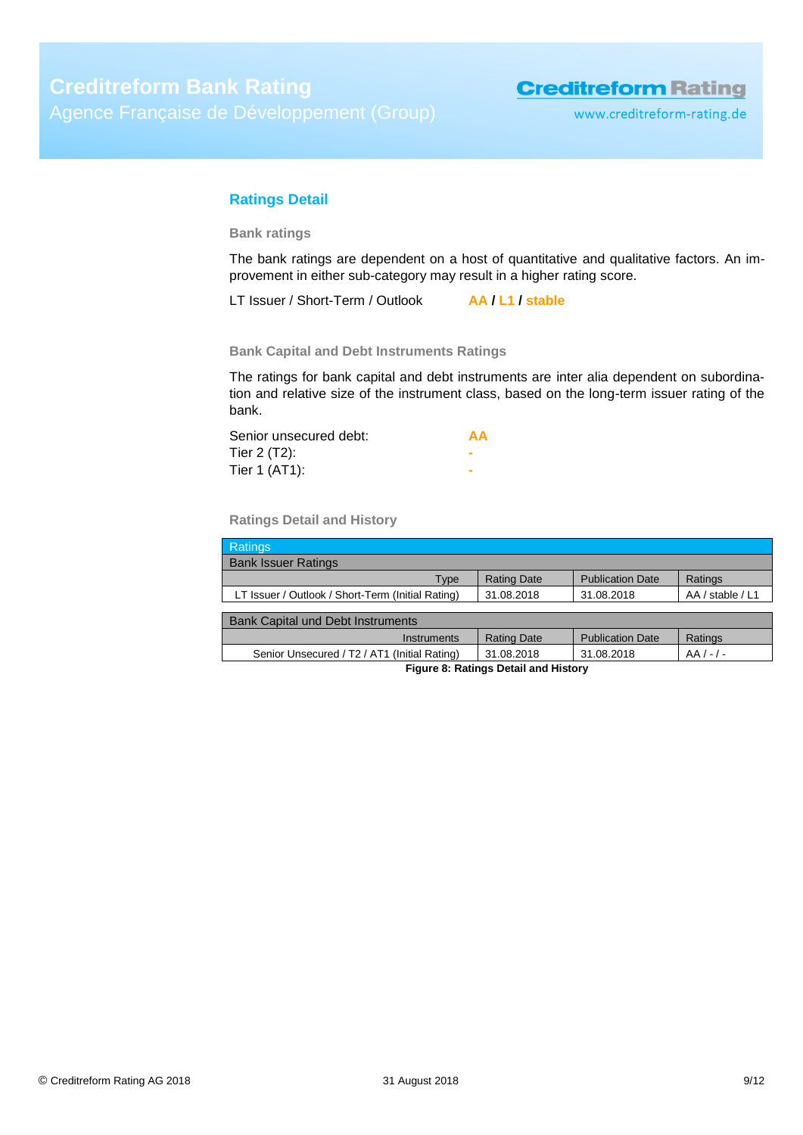www.creditreform-rating.de

### <span id="page-8-0"></span>**Ratings Detail**

**Bank ratings**

The bank ratings are dependent on a host of quantitative and qualitative factors. An improvement in either sub-category may result in a higher rating score.

LT Issuer / Short-Term / Outlook **AA / L1 / stable**

**Bank Capital and Debt Instruments Ratings**

The ratings for bank capital and debt instruments are inter alia dependent on subordination and relative size of the instrument class, based on the long-term issuer rating of the bank.

| Senior unsecured debt: | AA |
|------------------------|----|
| Tier $2(T2)$ :         |    |
| Tier 1 (AT1):          |    |

**Ratings Detail and History**

| Ratings                                           |                    |                         |                  |  |
|---------------------------------------------------|--------------------|-------------------------|------------------|--|
| <b>Bank Issuer Ratings</b>                        |                    |                         |                  |  |
| Type                                              | <b>Rating Date</b> | <b>Publication Date</b> | Ratings          |  |
| LT Issuer / Outlook / Short-Term (Initial Rating) | 31.08.2018         | 31.08.2018              | AA / stable / L1 |  |
|                                                   |                    |                         |                  |  |
| <b>Bank Capital und Debt Instruments</b>          |                    |                         |                  |  |
| Instruments                                       | <b>Rating Date</b> | <b>Publication Date</b> | Ratings          |  |
| Senior Unsecured / T2 / AT1 (Initial Rating)      | 31.08.2018         | 31.08.2018              | $AA/-/-$         |  |
| Figure 8: Ratings Detail and History              |                    |                         |                  |  |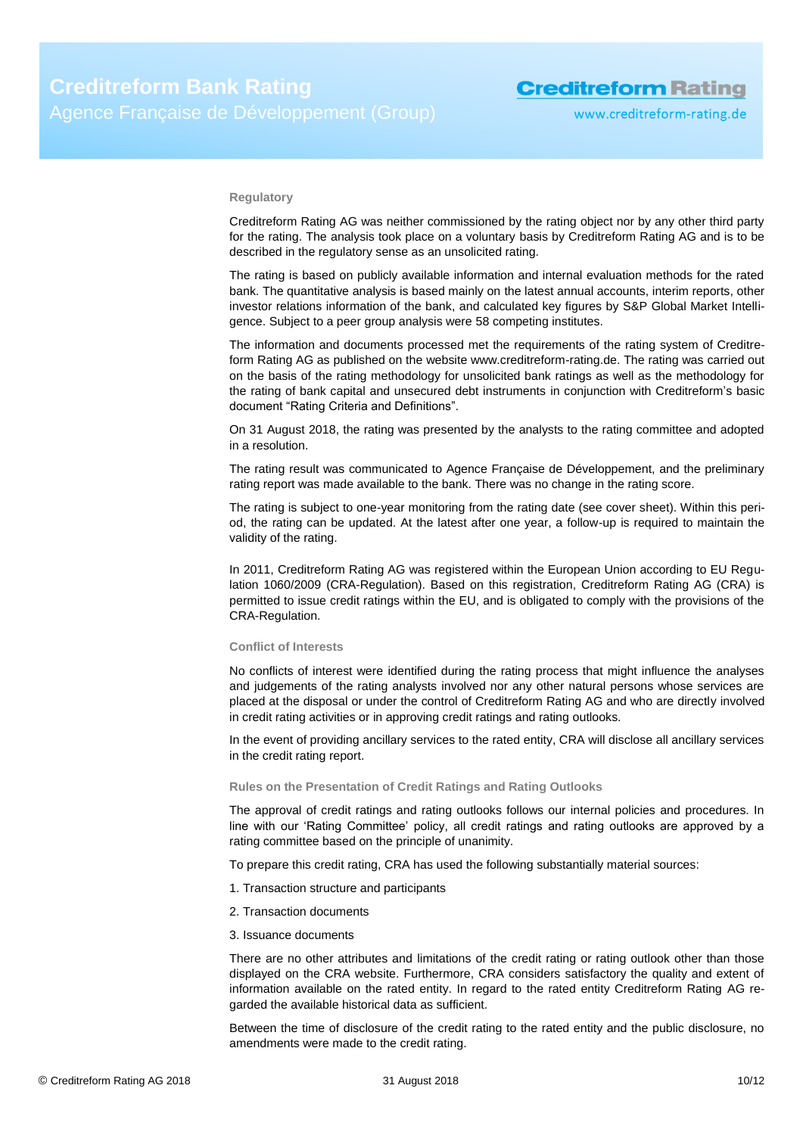#### **Regulatory**

Creditreform Rating AG was neither commissioned by the rating object nor by any other third party for the rating. The analysis took place on a voluntary basis by Creditreform Rating AG and is to be described in the regulatory sense as an unsolicited rating.

The rating is based on publicly available information and internal evaluation methods for the rated bank. The quantitative analysis is based mainly on the latest annual accounts, interim reports, other investor relations information of the bank, and calculated key figures by S&P Global Market Intelligence. Subject to a peer group analysis were 58 competing institutes.

The information and documents processed met the requirements of the rating system of Creditreform Rating AG as published on the website www.creditreform-rating.de. The rating was carried out on the basis of the rating methodology for unsolicited bank ratings as well as the methodology for the rating of bank capital and unsecured debt instruments in conjunction with Creditreform's basic document "Rating Criteria and Definitions".

On 31 August 2018, the rating was presented by the analysts to the rating committee and adopted in a resolution.

The rating result was communicated to Agence Française de Développement, and the preliminary rating report was made available to the bank. There was no change in the rating score.

The rating is subject to one-year monitoring from the rating date (see cover sheet). Within this period, the rating can be updated. At the latest after one year, a follow-up is required to maintain the validity of the rating.

In 2011, Creditreform Rating AG was registered within the European Union according to EU Regulation 1060/2009 (CRA-Regulation). Based on this registration, Creditreform Rating AG (CRA) is permitted to issue credit ratings within the EU, and is obligated to comply with the provisions of the CRA-Regulation.

#### **Conflict of Interests**

No conflicts of interest were identified during the rating process that might influence the analyses and judgements of the rating analysts involved nor any other natural persons whose services are placed at the disposal or under the control of Creditreform Rating AG and who are directly involved in credit rating activities or in approving credit ratings and rating outlooks.

In the event of providing ancillary services to the rated entity, CRA will disclose all ancillary services in the credit rating report.

#### **Rules on the Presentation of Credit Ratings and Rating Outlooks**

The approval of credit ratings and rating outlooks follows our internal policies and procedures. In line with our 'Rating Committee' policy, all credit ratings and rating outlooks are approved by a rating committee based on the principle of unanimity.

To prepare this credit rating, CRA has used the following substantially material sources:

- 1. Transaction structure and participants
- 2. Transaction documents
- 3. Issuance documents

There are no other attributes and limitations of the credit rating or rating outlook other than those displayed on the CRA website. Furthermore, CRA considers satisfactory the quality and extent of information available on the rated entity. In regard to the rated entity Creditreform Rating AG regarded the available historical data as sufficient.

Between the time of disclosure of the credit rating to the rated entity and the public disclosure, no amendments were made to the credit rating.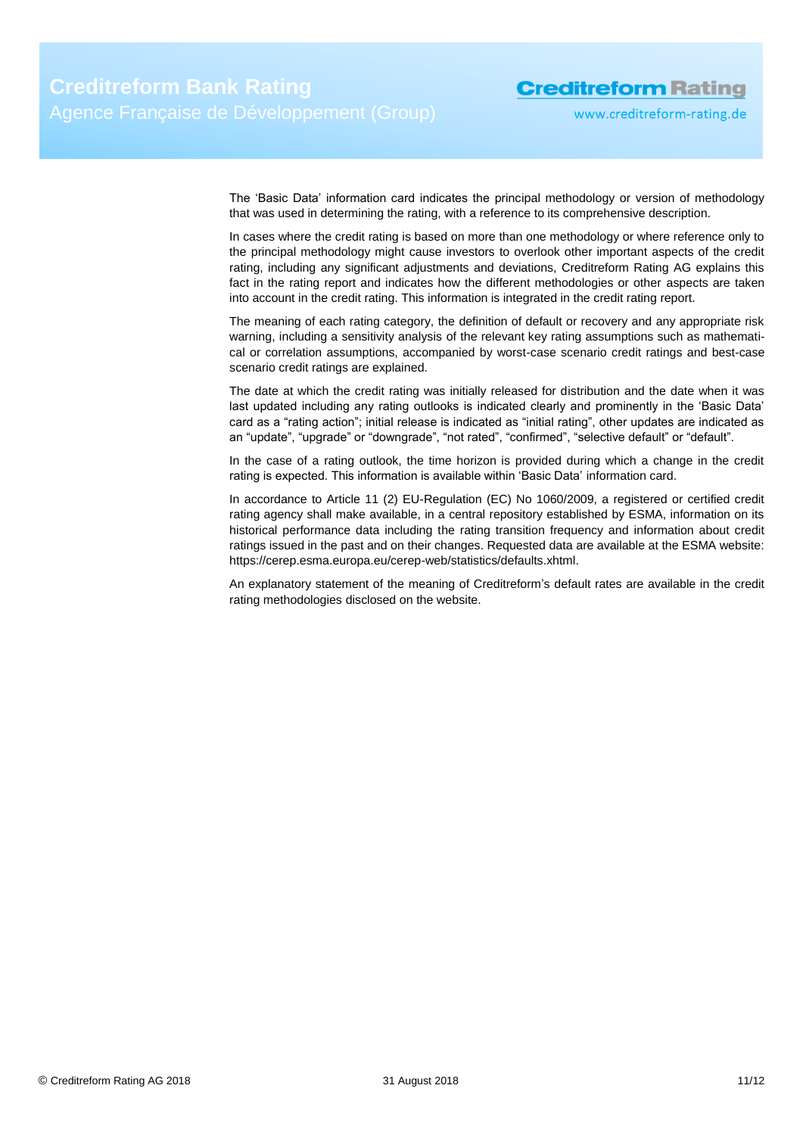www.creditreform-rating.de

The 'Basic Data' information card indicates the principal methodology or version of methodology that was used in determining the rating, with a reference to its comprehensive description.

In cases where the credit rating is based on more than one methodology or where reference only to the principal methodology might cause investors to overlook other important aspects of the credit rating, including any significant adjustments and deviations, Creditreform Rating AG explains this fact in the rating report and indicates how the different methodologies or other aspects are taken into account in the credit rating. This information is integrated in the credit rating report.

The meaning of each rating category, the definition of default or recovery and any appropriate risk warning, including a sensitivity analysis of the relevant key rating assumptions such as mathematical or correlation assumptions, accompanied by worst-case scenario credit ratings and best-case scenario credit ratings are explained.

The date at which the credit rating was initially released for distribution and the date when it was last updated including any rating outlooks is indicated clearly and prominently in the 'Basic Data' card as a "rating action"; initial release is indicated as "initial rating", other updates are indicated as an "update", "upgrade" or "downgrade", "not rated", "confirmed", "selective default" or "default".

In the case of a rating outlook, the time horizon is provided during which a change in the credit rating is expected. This information is available within 'Basic Data' information card.

In accordance to Article 11 (2) EU-Regulation (EC) No 1060/2009, a registered or certified credit rating agency shall make available, in a central repository established by ESMA, information on its historical performance data including the rating transition frequency and information about credit ratings issued in the past and on their changes. Requested data are available at the ESMA website: https://cerep.esma.europa.eu/cerep-web/statistics/defaults.xhtml.

An explanatory statement of the meaning of Creditreform's default rates are available in the credit rating methodologies disclosed on the website.